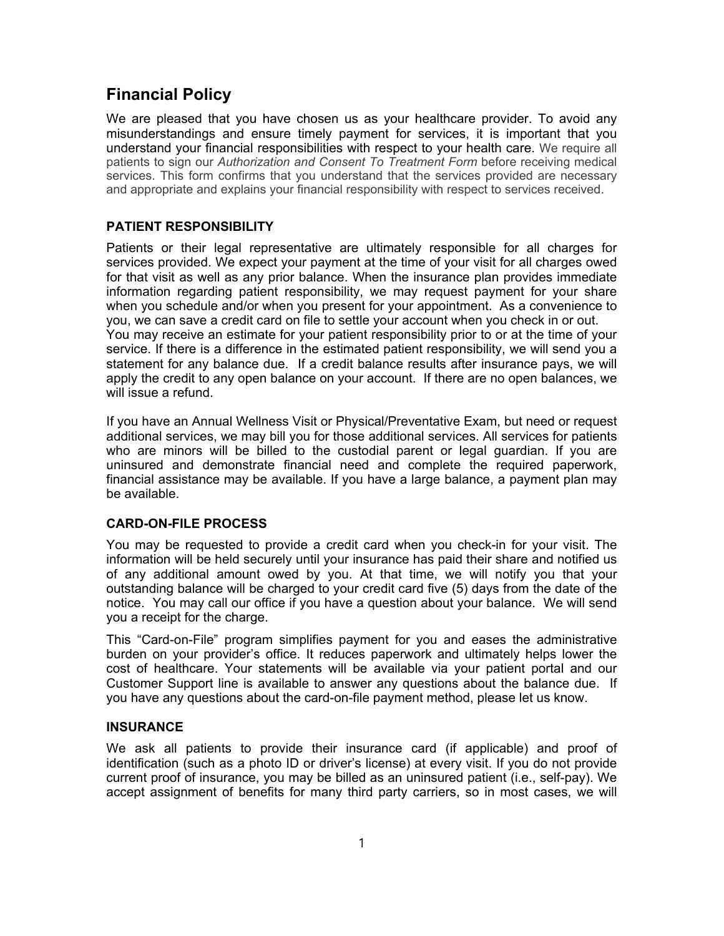# **Financial Policy**

We are pleased that you have chosen us as your healthcare provider. To avoid any misunderstandings and ensure timely payment for services, it is important that you understand your financial responsibilities with respect to your health care. We require all patients to sign our *Authorization and Consent To Treatment Form* before receiving medical services. This form confirms that you understand that the services provided are necessary and appropriate and explains your financial responsibility with respect to services received.

## **PATIENT RESPONSIBILITY**

Patients or their legal representative are ultimately responsible for all charges for services provided. We expect your payment at the time of your visit for all charges owed for that visit as well as any prior balance. When the insurance plan provides immediate information regarding patient responsibility, we may request payment for your share when you schedule and/or when you present for your appointment. As a convenience to you, we can save a credit card on file to settle your account when you check in or out. You may receive an estimate for your patient responsibility prior to or at the time of your service. If there is a difference in the estimated patient responsibility, we will send you a statement for any balance due. If a credit balance results after insurance pays, we will apply the credit to any open balance on your account. If there are no open balances, we will issue a refund.

If you have an Annual Wellness Visit or Physical/Preventative Exam, but need or request additional services, we may bill you for those additional services. All services for patients who are minors will be billed to the custodial parent or legal guardian. If you are uninsured and demonstrate financial need and complete the required paperwork, financial assistance may be available. If you have a large balance, a payment plan may be available.

#### **CARD-ON-FILE PROCESS**

You may be requested to provide a credit card when you check-in for your visit. The information will be held securely until your insurance has paid their share and notified us of any additional amount owed by you. At that time, we will notify you that your outstanding balance will be charged to your credit card five (5) days from the date of the notice. You may call our office if you have a question about your balance. We will send you a receipt for the charge.

This "Card-on-File" program simplifies payment for you and eases the administrative burden on your provider's office. It reduces paperwork and ultimately helps lower the cost of healthcare. Your statements will be available via your patient portal and our Customer Support line is available to answer any questions about the balance due. If you have any questions about the card-on-file payment method, please let us know.

#### **INSURANCE**

We ask all patients to provide their insurance card (if applicable) and proof of identification (such as a photo ID or driver's license) at every visit. If you do not provide current proof of insurance, you may be billed as an uninsured patient (i.e., self-pay). We accept assignment of benefits for many third party carriers, so in most cases, we will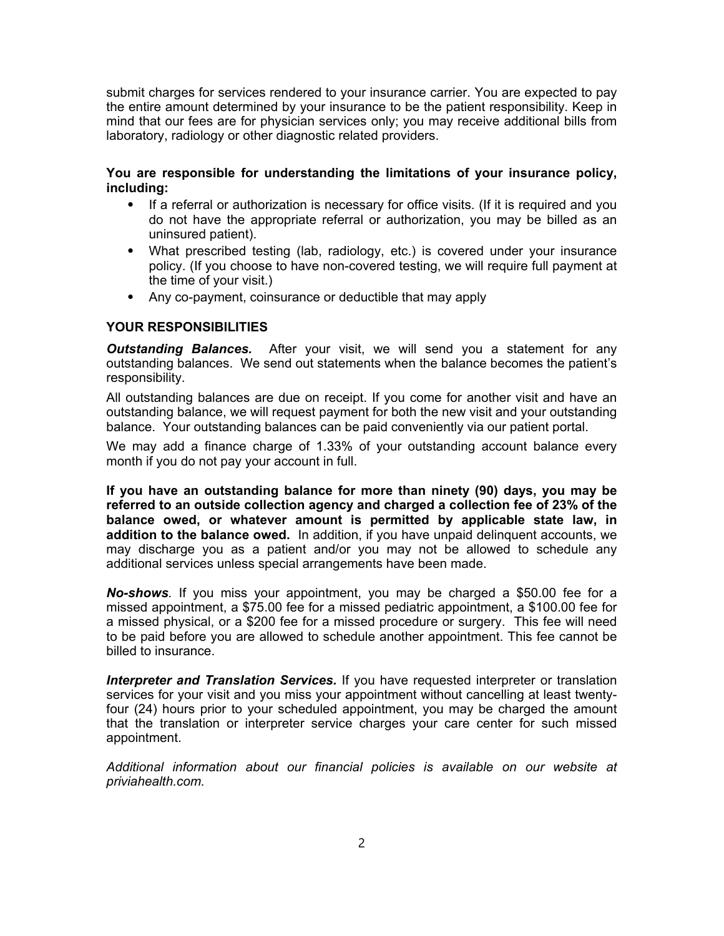submit charges for services rendered to your insurance carrier. You are expected to pay the entire amount determined by your insurance to be the patient responsibility. Keep in mind that our fees are for physician services only; you may receive additional bills from laboratory, radiology or other diagnostic related providers.

### **You are responsible for understanding the limitations of your insurance policy, including:**

- If a referral or authorization is necessary for office visits. (If it is required and you do not have the appropriate referral or authorization, you may be billed as an uninsured patient).
- ⦁ What prescribed testing (lab, radiology, etc.) is covered under your insurance policy. (If you choose to have non-covered testing, we will require full payment at the time of your visit.)
- ⦁ Any co-payment, coinsurance or deductible that may apply

#### **YOUR RESPONSIBILITIES**

*Outstanding Balances.*After your visit, we will send you a statement for any outstanding balances. We send out statements when the balance becomes the patient's responsibility.

All outstanding balances are due on receipt. If you come for another visit and have an outstanding balance, we will request payment for both the new visit and your outstanding balance. Your outstanding balances can be paid conveniently via our patient portal.

We may add a finance charge of 1.33% of your outstanding account balance every month if you do not pay your account in full.

**If you have an outstanding balance for more than ninety (90) days, you may be referred to an outside collection agency and charged a collection fee of 23% of the balance owed, or whatever amount is permitted by applicable state law, in addition to the balance owed.** In addition, if you have unpaid delinquent accounts, we may discharge you as a patient and/or you may not be allowed to schedule any additional services unless special arrangements have been made.

*No-shows.* If you miss your appointment, you may be charged a \$50.00 fee for a missed appointment, a \$75.00 fee for a missed pediatric appointment, a \$100.00 fee for a missed physical, or a \$200 fee for a missed procedure or surgery. This fee will need to be paid before you are allowed to schedule another appointment. This fee cannot be billed to insurance.

*Interpreter and Translation Services.* If you have requested interpreter or translation services for your visit and you miss your appointment without cancelling at least twentyfour (24) hours prior to your scheduled appointment, you may be charged the amount that the translation or interpreter service charges your care center for such missed appointment.

*Additional information about our financial policies is available on our website at priviahealth.com.*